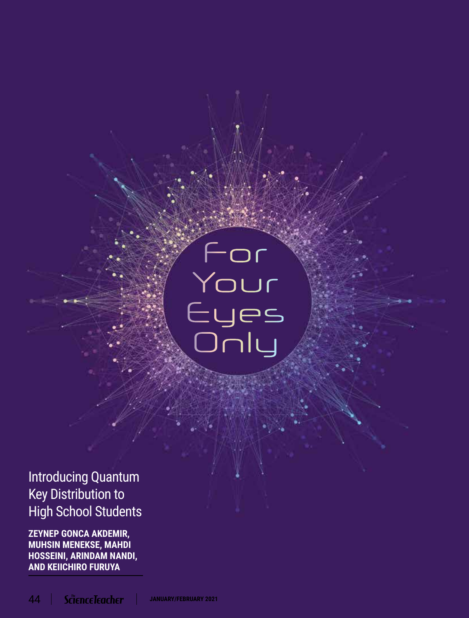# Eyes<br>Only

# Introducing Quantum Key Distribution to High School Students

**ZEYNEP GONCA AKDEMIR, MUHSIN MENEKSE, MAHDI HOSSEINI, ARINDAM NANDI, AND KEIICHIRO FURUYA**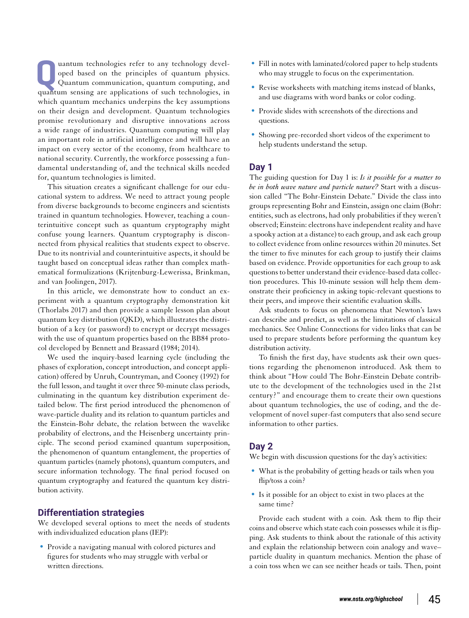**Quantum technologies refer to any technology developed based on the principles of quantum physics.<br>Quantum communication, quantum computing, and<br>quantum censing are applications of such technologies in** oped based on the principles of quantum physics. quantum sensing are applications of such technologies, in which quantum mechanics underpins the key assumptions on their design and development. Quantum technologies promise revolutionary and disruptive innovations across a wide range of industries. Quantum computing will play an important role in artificial intelligence and will have an impact on every sector of the economy, from healthcare to national security. Currently, the workforce possessing a fundamental understanding of, and the technical skills needed for, quantum technologies is limited.

This situation creates a significant challenge for our educational system to address. We need to attract young people from diverse backgrounds to become engineers and scientists trained in quantum technologies. However, teaching a counterintuitive concept such as quantum cryptography might confuse young learners. Quantum cryptography is disconnected from physical realities that students expect to observe. Due to its nontrivial and counterintuitive aspects, it should be taught based on conceptual ideas rather than complex mathematical formulizations (Krijtenburg-Lewerissa, Brinkman, and van Joolingen, 2017).

In this article, we demonstrate how to conduct an experiment with a quantum cryptography demonstration kit (Thorlabs 2017) and then provide a sample lesson plan about quantum key distribution (QKD), which illustrates the distribution of a key (or password) to encrypt or decrypt messages with the use of quantum properties based on the BB84 protocol developed by Bennett and Brassard (1984; 2014).

We used the inquiry-based learning cycle (including the phases of exploration, concept introduction, and concept application) offered by Unruh, Countryman, and Cooney (1992) for the full lesson, and taught it over three 50-minute class periods, culminating in the quantum key distribution experiment detailed below. The first period introduced the phenomenon of wave-particle duality and its relation to quantum particles and the Einstein-Bohr debate, the relation between the wavelike probability of electrons, and the Heisenberg uncertainty principle. The second period examined quantum superposition, the phenomenon of quantum entanglement, the properties of quantum particles (namely photons), quantum computers, and secure information technology. The final period focused on quantum cryptography and featured the quantum key distribution activity.

### **Differentiation strategies**

We developed several options to meet the needs of students with individualized education plans (IEP):

• Provide a navigating manual with colored pictures and figures for students who may struggle with verbal or written directions.

- Fill in notes with laminated/colored paper to help students who may struggle to focus on the experimentation.
- Revise worksheets with matching items instead of blanks, and use diagrams with word banks or color coding.
- Provide slides with screenshots of the directions and questions.
- Showing pre-recorded short videos of the experiment to help students understand the setup.

### **Day 1**

The guiding question for Day 1 is: *Is it possible for a matter to be in both wave nature and particle nature?* Start with a discussion called "The Bohr-Einstein Debate." Divide the class into groups representing Bohr and Einstein, assign one claim (Bohr: entities, such as electrons, had only probabilities if they weren't observed; Einstein: electrons have independent reality and have a spooky action at a distance) to each group, and ask each group to collect evidence from online resources within 20 minutes. Set the timer to five minutes for each group to justify their claims based on evidence. Provide opportunities for each group to ask questions to better understand their evidence-based data collection procedures. This 10-minute session will help them demonstrate their proficiency in asking topic-relevant questions to their peers, and improve their scientific evaluation skills.

Ask students to focus on phenomena that Newton's laws can describe and predict, as well as the limitations of classical mechanics. See Online Connections for video links that can be used to prepare students before performing the quantum key distribution activity.

To finish the first day, have students ask their own questions regarding the phenomenon introduced. Ask them to think about "How could The Bohr-Einstein Debate contribute to the development of the technologies used in the 21st century?" and encourage them to create their own questions about quantum technologies, the use of coding, and the development of novel super-fast computers that also send secure information to other parties.

### **Day 2**

We begin with discussion questions for the day's activities:

- What is the probability of getting heads or tails when you flip/toss a coin?
- Is it possible for an object to exist in two places at the same time?

Provide each student with a coin. Ask them to flip their coins and observe which state each coin possesses while it is flipping. Ask students to think about the rationale of this activity and explain the relationship between coin analogy and wave– particle duality in quantum mechanics. Mention the phase of a coin toss when we can see neither heads or tails. Then, point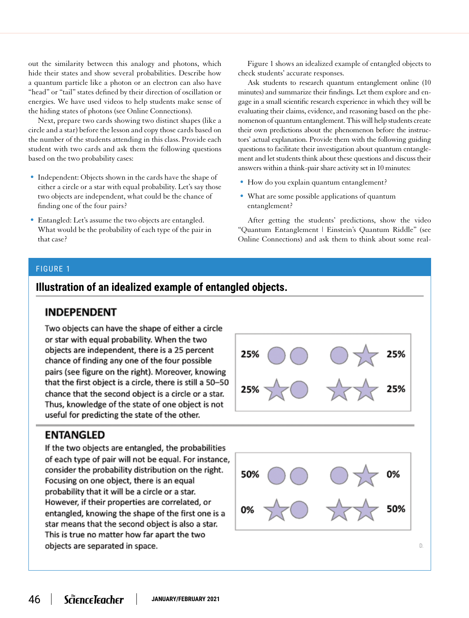out the similarity between this analogy and photons, which hide their states and show several probabilities. Describe how a quantum particle like a photon or an electron can also have "head" or "tail" states defined by their direction of oscillation or energies. We have used videos to help students make sense of the hiding states of photons (see Online Connections).

Next, prepare two cards showing two distinct shapes (like a circle and a star) before the lesson and copy those cards based on the number of the students attending in this class. Provide each student with two cards and ask them the following questions based on the two probability cases:

- Independent: Objects shown in the cards have the shape of either a circle or a star with equal probability. Let's say those two objects are independent, what could be the chance of finding one of the four pairs?
- Entangled: Let's assume the two objects are entangled. What would be the probability of each type of the pair in that case?

Figure 1 shows an idealized example of entangled objects to check students' accurate responses.

Ask students to research quantum entanglement online (10 minutes) and summarize their findings. Let them explore and engage in a small scientific research experience in which they will be evaluating their claims, evidence, and reasoning based on the phenomenon of quantum entanglement. This will help students create their own predictions about the phenomenon before the instructors' actual explanation. Provide them with the following guiding questions to facilitate their investigation about quantum entanglement and let students think about these questions and discuss their answers within a think-pair share activity set in 10 minutes:

- How do you explain quantum entanglement?
- What are some possible applications of quantum entanglement?

After getting the students' predictions, show the video "Quantum Entanglement | Einstein's Quantum Riddle" (see Online Connections) and ask them to think about some real-

# FIGURE 1

# **Illustration of an idealized example of entangled objects.**

# **INDEPENDENT**

Two objects can have the shape of either a circle or star with equal probability. When the two objects are independent, there is a 25 percent chance of finding any one of the four possible pairs (see figure on the right). Moreover, knowing that the first object is a circle, there is still a 50-50 chance that the second object is a circle or a star. Thus, knowledge of the state of one object is not useful for predicting the state of the other.

# **ENTANGLED**

If the two objects are entangled, the probabilities of each type of pair will not be equal. For instance, consider the probability distribution on the right. Focusing on one object, there is an equal probability that it will be a circle or a star. However, if their properties are correlated, or entangled, knowing the shape of the first one is a star means that the second object is also a star. This is true no matter how far apart the two objects are separated in space.



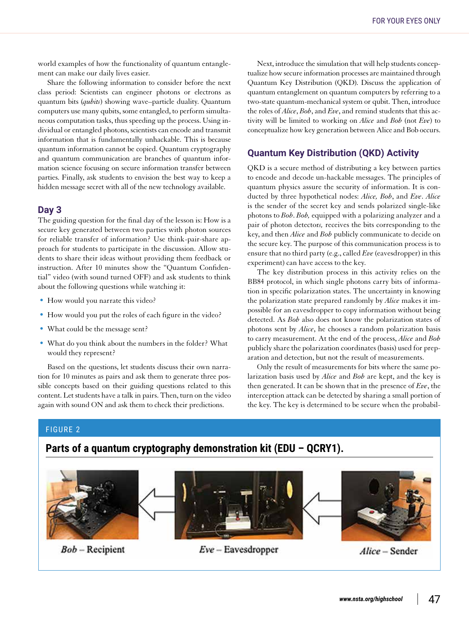world examples of how the functionality of quantum entanglement can make our daily lives easier.

Share the following information to consider before the next class period: Scientists can engineer photons or electrons as quantum bits (*qubits*) showing wave–particle duality. Quantum computers use many qubits, some entangled, to perform simultaneous computation tasks, thus speeding up the process. Using individual or entangled photons, scientists can encode and transmit information that is fundamentally unhackable. This is because quantum information cannot be copied. Quantum cryptography and quantum communication are branches of quantum information science focusing on secure information transfer between parties. Finally, ask students to envision the best way to keep a hidden message secret with all of the new technology available.

### **Day 3**

The guiding question for the final day of the lesson is: How is a secure key generated between two parties with photon sources for reliable transfer of information? Use think-pair-share approach for students to participate in the discussion. Allow students to share their ideas without providing them feedback or instruction. After 10 minutes show the "Quantum Confidential" video (with sound turned OFF) and ask students to think about the following questions while watching it:

- How would you narrate this video?
- How would you put the roles of each figure in the video?
- What could be the message sent?
- What do you think about the numbers in the folder? What would they represent?

Based on the questions, let students discuss their own narration for 10 minutes as pairs and ask them to generate three possible concepts based on their guiding questions related to this content. Let students have a talk in pairs. Then, turn on the video again with sound ON and ask them to check their predictions.

Next, introduce the simulation that will help students conceptualize how secure information processes are maintained through Quantum Key Distribution (QKD). Discuss the application of quantum entanglement on quantum computers by referring to a two-state quantum-mechanical system or qubit. Then, introduce the roles of *Alice*, *Bob*, and *Eve*, and remind students that this activity will be limited to working on *Alice* and *Bob* (not *Eve*) to conceptualize how key generation between Alice and Bob occurs.

# **Quantum Key Distribution (QKD) Activity**

QKD is a secure method of distributing a key between parties to encode and decode un-hackable messages. The principles of quantum physics assure the security of information. It is conducted by three hypothetical nodes: *Alice, Bob*, and *Eve*. *Alice* is the sender of the secret key and sends polarized single-like photons to *Bob*. *Bob,* equipped with a polarizing analyzer and a pair of photon detector*s,* receives the bits corresponding to the key, and then *Alice* and *Bob* publicly communicate to decide on the secure key. The purpose of this communication process is to ensure that no third party (e.g., called *Eve* (eavesdropper) in this experiment) can have access to the key.

The key distribution process in this activity relies on the BB84 protocol, in which single photons carry bits of information in specific polarization states. The uncertainty in knowing the polarization state prepared randomly by *Alice* makes it impossible for an eavesdropper to copy information without being detected. As *Bob* also does not know the polarization states of photons sent by *Alice*, he chooses a random polarization basis to carry measurement. At the end of the process, *Alice* and *Bob* publicly share the polarization coordinates (basis) used for preparation and detection, but not the result of measurements.

Only the result of measurements for bits where the same polarization basis used by *Alice* and *Bob* are kept, and the key is then generated. It can be shown that in the presence of *Eve*, the interception attack can be detected by sharing a small portion of the key. The key is determined to be secure when the probabil-

### FIGURE 2

# **Parts of a quantum cryptography demonstration kit (EDU – QCRY1).**

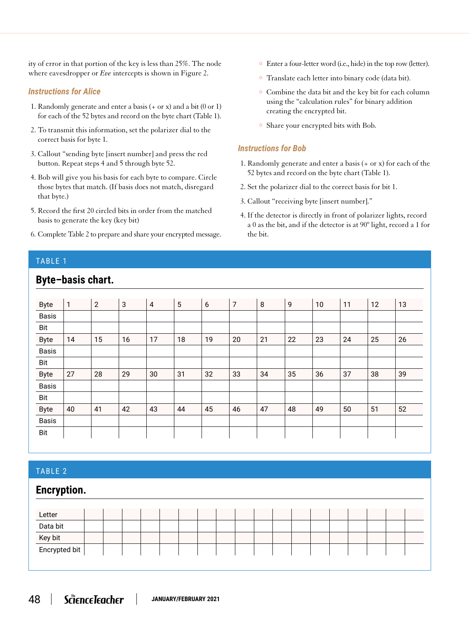ity of error in that portion of the key is less than 25%. The node where eavesdropper or *Eve* intercepts is shown in Figure 2.

# *Instructions for Alice*

- 1. Randomly generate and enter a basis (+ or x) and a bit (0 or 1) for each of the 52 bytes and record on the byte chart (Table 1).
- 2. To transmit this information, set the polarizer dial to the correct basis for byte 1.
- 3. Callout "sending byte [insert number] and press the red button. Repeat steps 4 and 5 through byte 52.
- 4. Bob will give you his basis for each byte to compare. Circle those bytes that match. (If basis does not match, disregard that byte.)
- 5. Record the first 20 circled bits in order from the matched basis to generate the key (key bit)
- 6. Complete Table 2 to prepare and share your encrypted message.
- Enter a four-letter word (i.e., hide) in the top row (letter).
- Translate each letter into binary code (data bit).
- Combine the data bit and the key bit for each column using the "calculation rules" for binary addition creating the encrypted bit.
- Share your encrypted bits with Bob.

# *Instructions for Bob*

- 1. Randomly generate and enter a basis (+ or x) for each of the 52 bytes and record on the byte chart (Table 1).
- 2. Set the polarizer dial to the correct basis for bit 1.
- 3. Callout "receiving byte [insert number]."
- 4. If the detector is directly in front of polarizer lights, record a 0 as the bit, and if the detector is at 90º light, record a 1 for the bit.

# TABLE 1

# **Byte–basis chart.**

| <b>Byte</b>  | $\mathbf{1}$ | $\overline{2}$ | $\sqrt{3}$ | $\overline{4}$ | 5  | 6  | 7  | 8  | 9  | 10 | 11 | 12 | 13 |
|--------------|--------------|----------------|------------|----------------|----|----|----|----|----|----|----|----|----|
| <b>Basis</b> |              |                |            |                |    |    |    |    |    |    |    |    |    |
| Bit          |              |                |            |                |    |    |    |    |    |    |    |    |    |
| <b>Byte</b>  | 14           | 15             | 16         | 17             | 18 | 19 | 20 | 21 | 22 | 23 | 24 | 25 | 26 |
| <b>Basis</b> |              |                |            |                |    |    |    |    |    |    |    |    |    |
| Bit          |              |                |            |                |    |    |    |    |    |    |    |    |    |
| <b>Byte</b>  | 27           | 28             | 29         | 30             | 31 | 32 | 33 | 34 | 35 | 36 | 37 | 38 | 39 |
| Basis        |              |                |            |                |    |    |    |    |    |    |    |    |    |
| Bit          |              |                |            |                |    |    |    |    |    |    |    |    |    |
| <b>Byte</b>  | 40           | 41             | 42         | 43             | 44 | 45 | 46 | 47 | 48 | 49 | 50 | 51 | 52 |
| <b>Basis</b> |              |                |            |                |    |    |    |    |    |    |    |    |    |
| Bit          |              |                |            |                |    |    |    |    |    |    |    |    |    |

# TABLE 2

# **Encryption.**

| Letter        |  |  |  |  |  |  |  |  |  |
|---------------|--|--|--|--|--|--|--|--|--|
| Data bit      |  |  |  |  |  |  |  |  |  |
| Key bit       |  |  |  |  |  |  |  |  |  |
| Encrypted bit |  |  |  |  |  |  |  |  |  |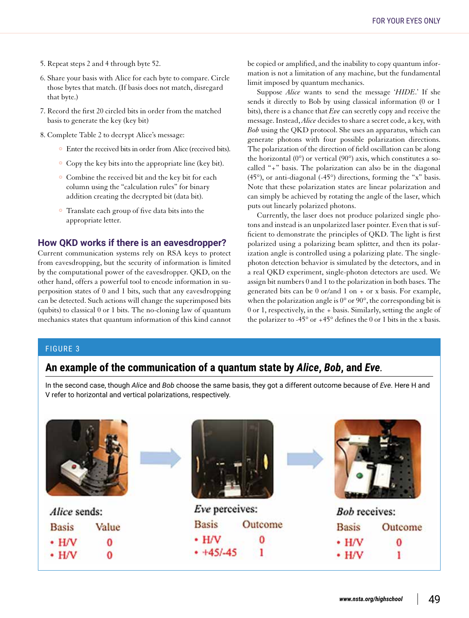- 5. Repeat steps 2 and 4 through byte 52.
- 6. Share your basis with Alice for each byte to compare. Circle those bytes that match. (If basis does not match, disregard that byte.)
- 7. Record the first 20 circled bits in order from the matched basis to generate the key (key bit)
- 8. Complete Table 2 to decrypt Alice's message:
	- Enter the received bits in order from Alice (received bits).
	- Copy the key bits into the appropriate line (key bit).
	- Combine the received bit and the key bit for each column using the "calculation rules" for binary addition creating the decrypted bit (data bit).
	- Translate each group of five data bits into the appropriate letter.

### **How QKD works if there is an eavesdropper?**

Current communication systems rely on RSA keys to protect from eavesdropping, but the security of information is limited by the computational power of the eavesdropper. QKD, on the other hand, offers a powerful tool to encode information in superposition states of 0 and 1 bits, such that any eavesdropping can be detected. Such actions will change the superimposed bits (qubits) to classical 0 or 1 bits. The no-cloning law of quantum mechanics states that quantum information of this kind cannot be copied or amplified, and the inability to copy quantum information is not a limitation of any machine, but the fundamental limit imposed by quantum mechanics.

Suppose *Alice* wants to send the message '*HIDE*.' If she sends it directly to Bob by using classical information (0 or 1 bits), there is a chance that *Eve* can secretly copy and receive the message. Instead, *Alice* decides to share a secret code, a key, with *Bob* using the QKD protocol. She uses an apparatus, which can generate photons with four possible polarization directions. The polarization of the direction of field oscillation can be along the horizontal (0°) or vertical (90°) axis, which constitutes a socalled "+" basis. The polarization can also be in the diagonal (45°), or anti-diagonal (-45°) directions, forming the "x" basis. Note that these polarization states are linear polarization and can simply be achieved by rotating the angle of the laser, which puts out linearly polarized photons.

Currently, the laser does not produce polarized single photons and instead is an unpolarized laser pointer. Even that is sufficient to demonstrate the principles of QKD. The light is first polarized using a polarizing beam splitter, and then its polarization angle is controlled using a polarizing plate. The singlephoton detection behavior is simulated by the detectors, and in a real QKD experiment, single-photon detectors are used. We assign bit numbers 0 and 1 to the polarization in both bases. The generated bits can be 0 or/and 1 on + or x basis. For example, when the polarization angle is 0° or 90°, the corresponding bit is 0 or 1, respectively, in the + basis. Similarly, setting the angle of the polarizer to -45 $\degree$  or +45 $\degree$  defines the 0 or 1 bits in the x basis.

### FIGURE 3

# **An example of the communication of a quantum state by** *Alice***,** *Bob***, and** *Eve.*

In the second case, though *Alice* and *Bob* choose the same basis, they got a different outcome because of *Eve*. Here H and V refer to horizontal and vertical polarizations, respectively.

| Alice sends: |       |  | Eve perceives: |         |              | <b>Bob</b> receives: |  |  |
|--------------|-------|--|----------------|---------|--------------|----------------------|--|--|
| <b>Basis</b> | Value |  | <b>Basis</b>   | Outcome | <b>Basis</b> | Outcome              |  |  |
| $·$ H/V      | 0     |  | $\cdot$ H/V    |         | $\cdot$ H/V  | 0                    |  |  |
| $\cdot$ H/V  | 0     |  | $+45/-45$      |         | $\cdot$ H/V  |                      |  |  |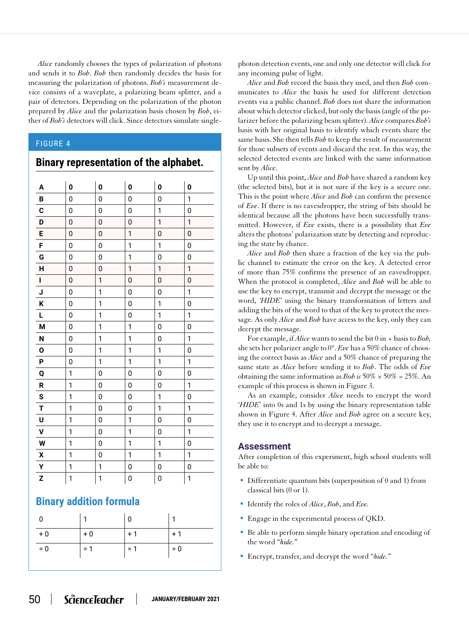*Alice* randomly chooses the types of polarization of photons and sends it to *Bob*. *Bob* then randomly decides the basis for measuring the polarization of photons. *Bob's* measurement device consists of a waveplate, a polarizing beam splitter, and a pair of detectors. Depending on the polarization of the photon prepared by *Alice* and the polarization basis chosen by *Bob*, either of *Bob's* detectors will click. Since detectors simulate single-

## FIGURE 4

# **Binary representation of the alphabet.**

| A                  | 0              | $\mathbf 0$    | $\mathbf{0}$ | 0            | 0            |
|--------------------|----------------|----------------|--------------|--------------|--------------|
| B                  | 0              | 0              | 0            | 0            | 1            |
| C                  | 0              | 0              | 0            | 1            | 0            |
| D                  | 0              | $\mathbf{0}$   | 0            | $\mathbf{1}$ | $\mathbf{1}$ |
| E                  | 0              | $\mathbf 0$    | 1            | 0            | 0            |
| F                  | 0              | $\mathbf 0$    | 1            | 1            | 0            |
| G                  | 0              | 0              | 1            | 0            | 0            |
| H                  | 0              | $\mathbf 0$    | $\mathbf{1}$ | 1            | 1            |
| $\mathbf I$        | 0              | 1              | 0            | 0            | 0            |
| J                  | 0              | 1              | 0            | 0            | 1            |
| K                  | $\overline{0}$ | 1              | 0            | $\mathbf{1}$ | 0            |
| L                  | 0              | $\mathbf{1}$   | 0            | $\mathbf{1}$ | 1            |
| M                  | 0              | 1              | $\mathbf{1}$ | 0            | 0            |
| N                  | 0              | 1              | 1            | 0            | 1            |
| $\mathbf 0$        | 0              | 1              | 1            | 1            | 0            |
| P                  | 0              | $\mathbf{1}$   | 1            | 1            | 1            |
| Q                  | 1              | 0              | 0            | 0            | 0            |
| R                  | 1              | $\mathbf 0$    | 0            | 0            | 1            |
| S                  | 1              | $\overline{0}$ | 0            | 1            | 0            |
| T                  | 1              | 0              | 0            | $\mathbf{1}$ | 1            |
| U                  | 1              | 0              | 1            | 0            | 0            |
| $\mathbf v$        | 1              | 0              | 1            | 0            | 1            |
| W                  | $\mathbf{1}$   | 0              | 1            | $\mathbf{1}$ | 0            |
| $\pmb{\mathsf{x}}$ | 1              | 0              | $\mathbf{1}$ | 1            | 1            |
| Y                  | 1              | 1              | 0            | 0            | 0            |
| Z                  | 1              | $\mathbf{1}$   | 0            | 0            | 1            |

# **Binary addition formula**

| 0     |       | 0     |       |
|-------|-------|-------|-------|
| $+0$  | $+0$  | $+1$  | $+1$  |
| $= 0$ | $= 1$ | $= 1$ | $= 0$ |

photon detection events, one and only one detector will click for any incoming pulse of light.

*Alice* and *Bob* record the basis they used, and then *Bob* communicates to *Alice* the basis he used for different detection events via a public channel. *Bob* does not share the information about which detector clicked, but only the basis (angle of the polarizer before the polarizing beam splitter). *Alice* compares *Bob's* basis with her original basis to identify which events share the same basis. She then tells *Bob* to keep the result of measurement for those subsets of events and discard the rest. In this way, the selected detected events are linked with the same information sent by *Alice*.

Up until this point, *Alice* and *Bob* have shared a random key (the selected bits), but it is not sure if the key is a secure one. This is the point where *Alice* and *Bob* can confirm the presence of *Eve*. If there is no eavesdropper, the string of bits should be identical because all the photons have been successfully transmitted. However, if *Eve* exists, there is a possibility that *Eve* alters the photons' polarization state by detecting and reproducing the state by chance.

*Alice* and *Bob* then share a fraction of the key via the public channel to estimate the error on the key. A detected error of more than 75% confirms the presence of an eavesdropper. When the protocol is completed, *Alice* and *Bob* will be able to use the key to encrypt, transmit and decrypt the message or the word, *'HIDE'* using the binary transformation of letters and adding the bits of the word to that of the key to protect the message. As only *Alice* and *Bob* have access to the key, only they can decrypt the message.

For example, if *Alice* wants to send the bit 0 in + basis to *Bob,*  she sets her polarizer angle to 0°. *Eve* has a 50% chance of choosing the correct basis as *Alice* and a 50% chance of preparing the same state as *Alice* before sending it to *Bob*. The odds of *Eve* obtaining the same information as *Bob is* 50% × 50% = 25%. An example of this process is shown in Figure 3.

As an example, consider *Alice* needs to encrypt the word '*HIDE*' into 0s and 1s by using the binary representation table shown in Figure 4. After *Alice* and *Bob* agree on a secure key, they use it to encrypt and to decrypt a message.

# **Assessment**

After completion of this experiment, high school students will be able to:

- Differentiate quantum bits (superposition of 0 and 1) from classical bits (0 or 1).
- Identify the roles of *Alice*, *Bob*, and *Eve.*
- Engage in the experimental process of QKD.
- Be able to perform simple binary operation and encoding of the word "*hide."*
- Encrypt, transfer, and decrypt the word "*hide."*